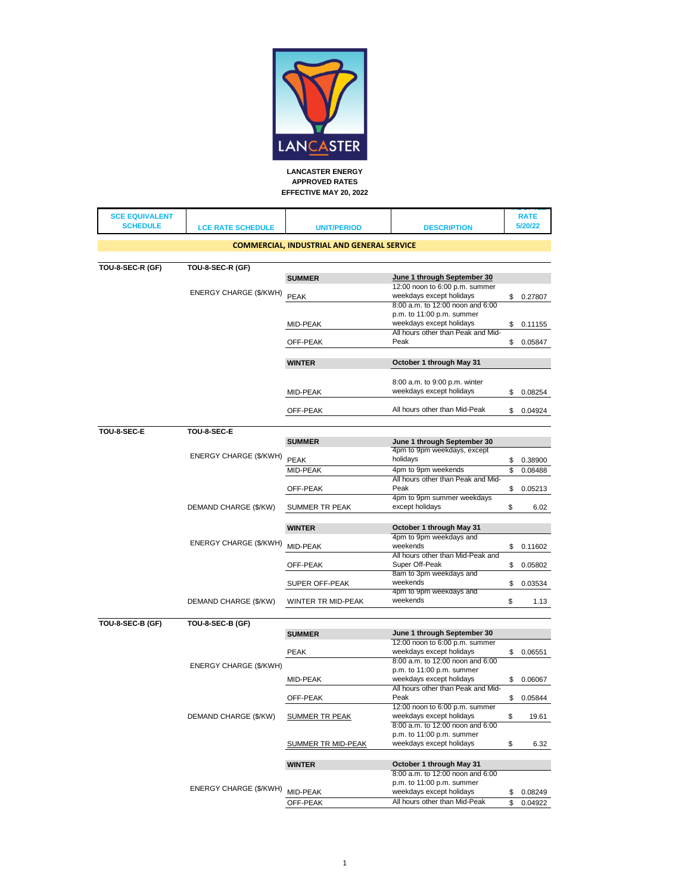

| <b>SCE EQUIVALENT</b><br><b>SCHEDULE</b> | <b>LCE RATE SCHEDULE</b>    | <b>UNIT/PERIOD</b>                                | <b>DESCRIPTION</b>                                            | <b>RATE</b><br>5/20/22 |
|------------------------------------------|-----------------------------|---------------------------------------------------|---------------------------------------------------------------|------------------------|
|                                          |                             | <b>COMMERCIAL, INDUSTRIAL AND GENERAL SERVICE</b> |                                                               |                        |
|                                          |                             |                                                   |                                                               |                        |
| TOU-8-SEC-R (GF)                         | TOU-8-SEC-R (GF)            |                                                   |                                                               |                        |
|                                          |                             | <b>SUMMER</b>                                     | June 1 through September 30<br>12:00 noon to 6:00 p.m. summer |                        |
|                                          | ENERGY CHARGE (\$/KWH) PEAK |                                                   | weekdays except holidays                                      | \$0.27807              |
|                                          |                             |                                                   | 8:00 a.m. to 12:00 noon and 6:00<br>p.m. to 11:00 p.m. summer |                        |
|                                          |                             | MID-PEAK                                          | weekdays except holidays                                      | \$<br>0.11155          |
|                                          |                             | OFF-PEAK                                          | All hours other than Peak and Mid-<br>Peak                    | \$<br>0.05847          |
|                                          |                             | <b>WINTER</b>                                     | October 1 through May 31                                      |                        |
|                                          |                             |                                                   | 8:00 a.m. to 9:00 p.m. winter                                 |                        |
|                                          |                             | MID-PEAK                                          | weekdays except holidays                                      | \$<br>0.08254          |
|                                          |                             | OFF-PEAK                                          | All hours other than Mid-Peak                                 | \$<br>0.04924          |
| TOU-8-SEC-E                              | TOU-8-SEC-E                 |                                                   |                                                               |                        |
|                                          |                             | <b>SUMMER</b>                                     | June 1 through September 30                                   |                        |
|                                          | ENERGY CHARGE (\$/KWH)      | PEAK                                              | 4pm to 9pm weekdays, except<br>holidays                       | \$<br>0.38900          |
|                                          |                             | MID-PEAK                                          | 4pm to 9pm weekends                                           | \$<br>0.08488          |
|                                          |                             |                                                   | All hours other than Peak and Mid-<br>Peak                    |                        |
|                                          |                             | OFF-PEAK                                          | 4pm to 9pm summer weekdays                                    | \$<br>0.05213          |
|                                          | DEMAND CHARGE (\$/KW)       | SUMMER TR PEAK                                    | except holidays                                               | \$<br>6.02             |
|                                          |                             | <b>WINTER</b>                                     | October 1 through May 31                                      |                        |
|                                          | ENERGY CHARGE (\$/KWH)      | MID-PEAK                                          | 4pm to 9pm weekdays and<br>weekends                           | \$<br>0.11602          |
|                                          |                             |                                                   | All hours other than Mid-Peak and                             |                        |
|                                          |                             | OFF-PEAK                                          | Super Off-Peak<br>8am to 3pm weekdays and                     | \$<br>0.05802          |
|                                          |                             | SUPER OFF-PEAK                                    | weekends                                                      | \$<br>0.03534          |
|                                          |                             |                                                   | 4pm to 9pm weekdays and<br>weekends                           | \$<br>1.13             |
|                                          | DEMAND CHARGE (\$/KW)       | WINTER TR MID-PEAK                                |                                                               |                        |
| TOU-8-SEC-B (GF)                         | TOU-8-SEC-B (GF)            |                                                   |                                                               |                        |
|                                          |                             | <b>SUMMER</b>                                     | June 1 through September 30<br>12:00 noon to 6:00 p.m. summer |                        |
|                                          |                             | <b>PEAK</b>                                       | weekdays except holidays                                      | \$0.06551              |
|                                          | ENERGY CHARGE (\$/KWH)      |                                                   | 8:00 a.m. to 12:00 noon and 6:00                              |                        |
|                                          |                             | MID-PEAK                                          | p.m. to 11:00 p.m. summer<br>weekdays except holidays         | \$<br>0.06067          |
|                                          |                             |                                                   | All hours other than Peak and Mid-                            |                        |
|                                          |                             | OFF-PEAK                                          | Peak<br>12:00 noon to 6:00 p.m. summer                        | \$<br>0.05844          |
|                                          | DEMAND CHARGE (\$/KW)       | <b>SUMMER TR PEAK</b>                             | weekdays except holidays                                      | \$<br>19.61            |
|                                          |                             |                                                   | 8:00 a.m. to 12:00 noon and 6:00<br>p.m. to 11:00 p.m. summer |                        |
|                                          |                             | <b>SUMMER TR MID-PEAK</b>                         | weekdays except holidays                                      | \$<br>6.32             |
|                                          |                             | <b>WINTER</b>                                     | October 1 through May 31                                      |                        |
|                                          |                             |                                                   | 8:00 a.m. to 12:00 noon and 6:00                              |                        |
|                                          | ENERGY CHARGE (\$/KWH)      | MID-PEAK                                          | p.m. to 11:00 p.m. summer<br>weekdays except holidays         | \$<br>0.08249          |
|                                          |                             | OFF-PEAK                                          | All hours other than Mid-Peak                                 | \$<br>0.04922          |
|                                          |                             |                                                   |                                                               |                        |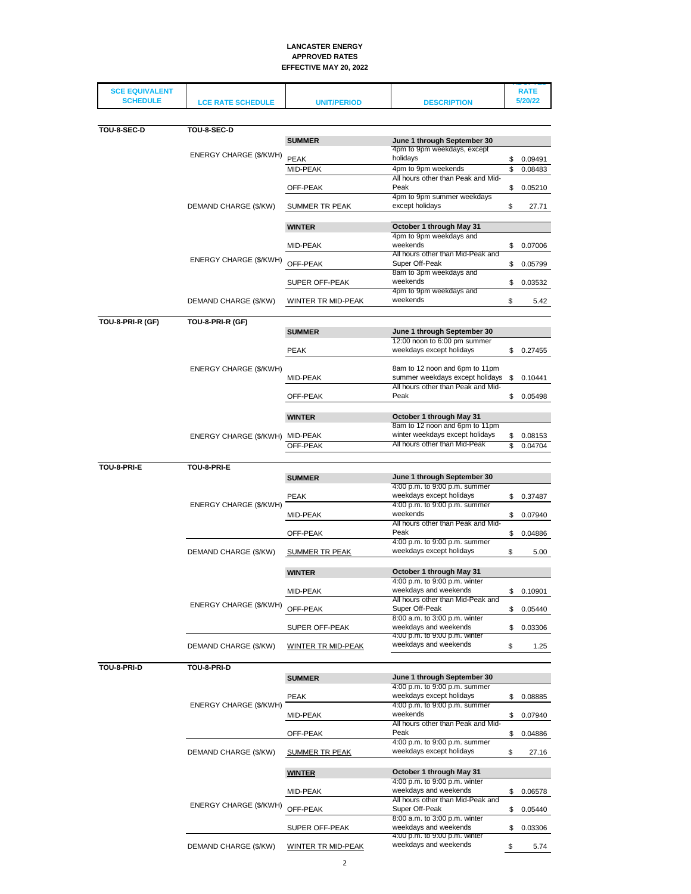| <b>SCE EQUIVALENT</b> |                                 |                           |                                                                  |          | <b>RATE</b>        |
|-----------------------|---------------------------------|---------------------------|------------------------------------------------------------------|----------|--------------------|
| <b>SCHEDULE</b>       | <b>LCE RATE SCHEDULE</b>        | <b>UNIT/PERIOD</b>        | <b>DESCRIPTION</b>                                               |          | 5/20/22            |
|                       |                                 |                           |                                                                  |          |                    |
| TOU-8-SEC-D           | TOU-8-SEC-D                     |                           |                                                                  |          |                    |
|                       |                                 | <b>SUMMER</b>             | June 1 through September 30                                      |          |                    |
|                       | ENERGY CHARGE (\$/KWH)          | PEAK                      | 4pm to 9pm weekdays, except<br>holidays                          |          |                    |
|                       |                                 | MID-PEAK                  | 4pm to 9pm weekends                                              | \$<br>\$ | 0.09491<br>0.08483 |
|                       |                                 |                           | All hours other than Peak and Mid-                               |          |                    |
|                       |                                 | OFF-PEAK                  | Peak<br>4pm to 9pm summer weekdays                               | \$       | 0.05210            |
|                       | DEMAND CHARGE (\$/KW)           | SUMMER TR PEAK            | except holidays                                                  | \$       | 27.71              |
|                       |                                 | <b>WINTER</b>             | October 1 through May 31<br>4pm to 9pm weekdays and              |          |                    |
|                       |                                 | MID-PEAK                  | weekends                                                         | \$       | 0.07006            |
|                       | ENERGY CHARGE (\$/KWH)          |                           | All hours other than Mid-Peak and<br>Super Off-Peak              |          |                    |
|                       |                                 | OFF-PEAK                  | 8am to 3pm weekdays and                                          | \$       | 0.05799            |
|                       |                                 | SUPER OFF-PEAK            | weekends                                                         | \$       | 0.03532            |
|                       |                                 |                           | 4pm to 9pm weekdays and                                          |          |                    |
|                       | DEMAND CHARGE (\$/KW)           | WINTER TR MID-PEAK        | weekends                                                         | \$       | 5.42               |
| TOU-8-PRI-R (GF)      | TOU-8-PRI-R (GF)                |                           |                                                                  |          |                    |
|                       |                                 | <b>SUMMER</b>             | June 1 through September 30                                      |          |                    |
|                       |                                 |                           | 12:00 noon to 6:00 pm summer<br>weekdays except holidays         |          |                    |
|                       |                                 | <b>PEAK</b>               |                                                                  |          | \$0.27455          |
|                       | ENERGY CHARGE (\$/KWH)          |                           | 8am to 12 noon and 6pm to 11pm                                   |          |                    |
|                       |                                 | MID-PEAK                  | summer weekdays except holidays                                  | \$       | 0.10441            |
|                       |                                 | OFF-PEAK                  | All hours other than Peak and Mid-<br>Peak                       | \$       | 0.05498            |
|                       |                                 |                           |                                                                  |          |                    |
|                       |                                 | <b>WINTER</b>             | October 1 through May 31                                         |          |                    |
|                       |                                 |                           | 8am to 12 noon and 6pm to 11pm                                   |          |                    |
|                       | ENERGY CHARGE (\$/KWH) MID-PEAK | OFF-PEAK                  | winter weekdays except holidays<br>All hours other than Mid-Peak | \$<br>\$ | 0.08153<br>0.04704 |
|                       |                                 |                           |                                                                  |          |                    |
| TOU-8-PRI-E           | TOU-8-PRI-E                     |                           |                                                                  |          |                    |
|                       |                                 | <b>SUMMER</b>             | June 1 through September 30                                      |          |                    |
|                       |                                 |                           | 4:00 p.m. to 9:00 p.m. summer<br>weekdays except holidays        |          |                    |
|                       | ENERGY CHARGE (\$/KWH)          | <b>PEAK</b>               | 4:00 p.m. to 9:00 p.m. summer                                    |          | \$0.37487          |
|                       |                                 | MID-PEAK                  | weekends                                                         | \$       | 0.07940            |
|                       |                                 |                           | All hours other than Peak and Mid-                               |          |                    |
|                       |                                 | OFF-PEAK                  | Peak<br>4:00 p.m. to 9:00 p.m. summer                            | \$       | 0.04886            |
|                       | DEMAND CHARGE (\$/KW)           | <b>SUMMER TR PEAK</b>     | weekdays except holidays                                         | \$       | 5.00               |
|                       |                                 |                           |                                                                  |          |                    |
|                       |                                 | <b>WINTER</b>             | October 1 through May 31<br>4:00 p.m. to 9:00 p.m. winter        |          |                    |
|                       |                                 | MID-PEAK                  | weekdays and weekends                                            | \$       | 0.10901            |
|                       | ENERGY CHARGE (\$/KWH)          |                           | All hours other than Mid-Peak and                                |          |                    |
|                       |                                 | OFF-PEAK                  | Super Off-Peak                                                   | \$       | 0.05440            |
|                       |                                 | SUPER OFF-PEAK            | 8:00 a.m. to 3:00 p.m. winter<br>weekdays and weekends           | \$       | 0.03306            |
|                       |                                 |                           | 4:00 p.m. to 9:00 p.m. winter                                    |          |                    |
|                       | DEMAND CHARGE (\$/KW)           | <b>WINTER TR MID-PEAK</b> | weekdays and weekends                                            | \$       | 1.25               |
|                       |                                 |                           |                                                                  |          |                    |
| TOU-8-PRI-D           | TOU-8-PRI-D                     |                           | June 1 through September 30                                      |          |                    |
|                       |                                 | <b>SUMMER</b>             | 4:00 p.m. to 9:00 p.m. summer                                    |          |                    |
|                       |                                 | <b>PEAK</b>               | weekdays except holidays                                         | \$       | 0.08885            |
|                       | ENERGY CHARGE (\$/KWH)          |                           | 4:00 p.m. to 9:00 p.m. summer<br>weekends                        |          |                    |
|                       |                                 | MID-PEAK                  | All hours other than Peak and Mid-                               | \$       | 0.07940            |
|                       |                                 | OFF-PEAK                  | Peak                                                             | \$       | 0.04886            |
|                       |                                 |                           | 4:00 p.m. to 9:00 p.m. summer                                    |          |                    |
|                       | DEMAND CHARGE (\$/KW)           | <b>SUMMER TR PEAK</b>     | weekdays except holidays                                         | \$       | 27.16              |
|                       |                                 | <b>WINTER</b>             | October 1 through May 31                                         |          |                    |
|                       |                                 |                           | 4:00 p.m. to 9:00 p.m. winter                                    |          |                    |
|                       |                                 | MID-PEAK                  | weekdays and weekends                                            | \$       | 0.06578            |
|                       | ENERGY CHARGE (\$/KWH)          | OFF-PEAK                  | All hours other than Mid-Peak and<br>Super Off-Peak              | \$       |                    |
|                       |                                 |                           | 8:00 a.m. to 3:00 p.m. winter                                    |          | 0.05440            |
|                       |                                 | SUPER OFF-PEAK            | weekdays and weekends                                            | \$       | 0.03306            |
|                       | DEMAND CHARGE (\$/KW)           |                           | 4:00 p.m. to 9:00 p.m. winter<br>weekdays and weekends           | \$       | 5.74               |
|                       |                                 | <b>WINTER TR MID-PEAK</b> |                                                                  |          |                    |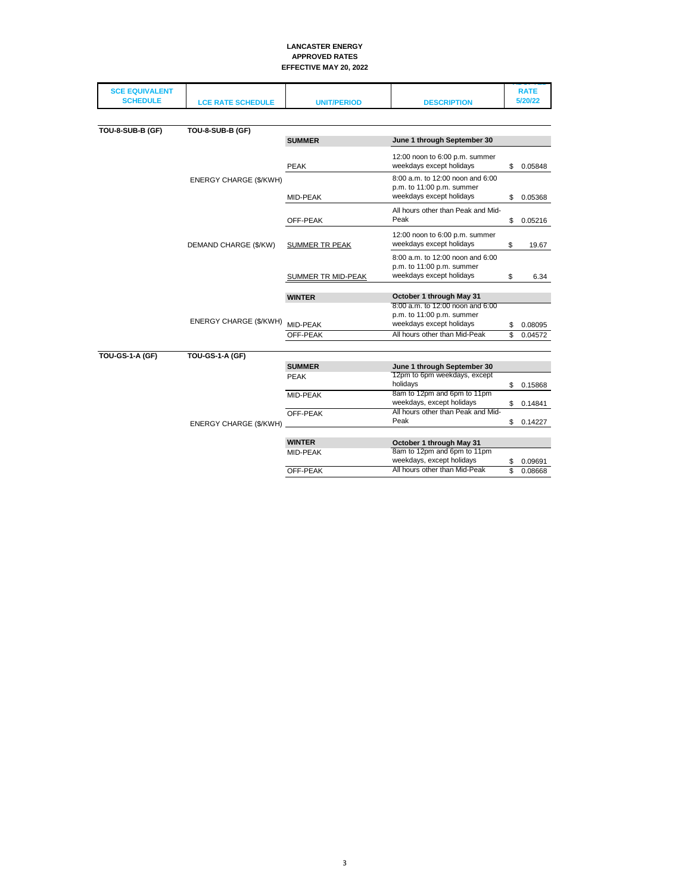| <b>SCE EQUIVALENT</b><br><b>SCHEDULE</b> | <b>LCE RATE SCHEDULE</b>      | <b>UNIT/PERIOD</b>                                                                        | <b>DESCRIPTION</b>                                                                        |          | <b>RATE</b><br>5/20/22 |
|------------------------------------------|-------------------------------|-------------------------------------------------------------------------------------------|-------------------------------------------------------------------------------------------|----------|------------------------|
|                                          |                               |                                                                                           |                                                                                           |          |                        |
| TOU-8-SUB-B (GF)                         | TOU-8-SUB-B (GF)              |                                                                                           |                                                                                           |          |                        |
|                                          |                               | <b>SUMMER</b>                                                                             | June 1 through September 30                                                               |          |                        |
|                                          |                               | <b>PEAK</b>                                                                               | 12:00 noon to 6:00 p.m. summer<br>weekdays except holidays                                | \$       | 0.05848                |
|                                          | ENERGY CHARGE (\$/KWH)        | MID-PEAK                                                                                  | 8:00 a.m. to 12:00 noon and 6:00<br>p.m. to 11:00 p.m. summer<br>weekdays except holidays | \$       | 0.05368                |
|                                          |                               | OFF-PEAK                                                                                  | All hours other than Peak and Mid-<br>Peak                                                | \$       | 0.05216                |
|                                          | DEMAND CHARGE (\$/KW)         | SUMMER TR PEAK                                                                            | 12:00 noon to 6:00 p.m. summer<br>weekdays except holidays                                | \$       | 19.67                  |
|                                          | <b>SUMMER TR MID-PEAK</b>     | 8:00 a.m. to 12:00 noon and 6:00<br>p.m. to 11:00 p.m. summer<br>weekdays except holidays | \$                                                                                        | 6.34     |                        |
|                                          |                               | <b>WINTER</b>                                                                             | October 1 through May 31                                                                  |          |                        |
|                                          | ENERGY CHARGE (\$/KWH)        |                                                                                           | 8:00 a.m. to 12:00 noon and 6:00<br>p.m. to 11:00 p.m. summer<br>weekdays except holidays |          |                        |
|                                          |                               | MID-PEAK<br>OFF-PEAK                                                                      | All hours other than Mid-Peak                                                             | \$<br>\$ | 0.08095<br>0.04572     |
|                                          |                               |                                                                                           |                                                                                           |          |                        |
| <b>TOU-GS-1-A (GF)</b>                   | <b>TOU-GS-1-A (GF)</b>        |                                                                                           |                                                                                           |          |                        |
|                                          |                               | <b>SUMMER</b>                                                                             | June 1 through September 30<br>12pm to 6pm weekdays, except                               |          |                        |
|                                          |                               | PEAK                                                                                      | holidays                                                                                  | \$       | 0.15868                |
|                                          |                               | MID-PEAK                                                                                  | 8am to 12pm and 6pm to 11pm<br>weekdays, except holidays                                  | \$       | 0.14841                |
|                                          |                               | OFF-PEAK                                                                                  | All hours other than Peak and Mid-                                                        |          |                        |
|                                          | <b>ENERGY CHARGE (\$/KWH)</b> |                                                                                           | Peak                                                                                      | \$       | 0.14227                |
|                                          |                               | <b>WINTER</b>                                                                             | October 1 through May 31                                                                  |          |                        |
|                                          |                               | MID-PEAK                                                                                  | 8am to 12pm and 6pm to 11pm<br>weekdays, except holidays                                  | \$       | 0.09691                |
|                                          |                               | OFF-PEAK                                                                                  | All hours other than Mid-Peak                                                             | \$       | 0.08668                |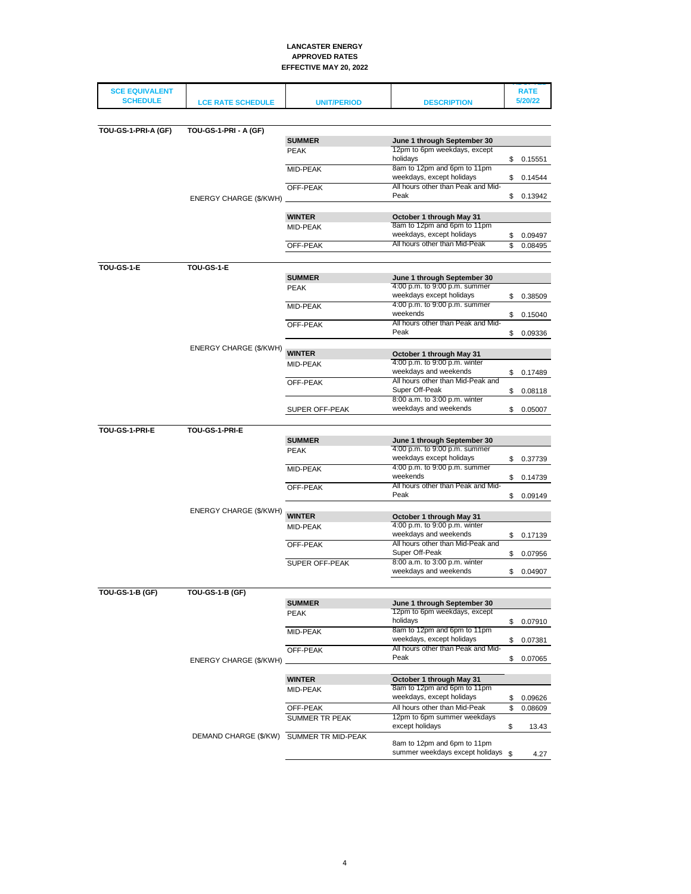| <b>SCE EQUIVALENT</b><br><b>SCHEDULE</b> |                                          |                       |                                                                   |          | <b>RATE</b><br>5/20/22 |
|------------------------------------------|------------------------------------------|-----------------------|-------------------------------------------------------------------|----------|------------------------|
|                                          | <b>LCE RATE SCHEDULE</b>                 | <b>UNIT/PERIOD</b>    | <b>DESCRIPTION</b>                                                |          |                        |
|                                          |                                          |                       |                                                                   |          |                        |
| TOU-GS-1-PRI-A (GF)                      | <b>TOU-GS-1-PRI - A (GF)</b>             |                       |                                                                   |          |                        |
|                                          |                                          | <b>SUMMER</b>         | June 1 through September 30                                       |          |                        |
|                                          |                                          | <b>PEAK</b>           | 12pm to 6pm weekdays, except<br>holidays                          |          |                        |
|                                          |                                          | MID-PEAK              | 8am to 12pm and 6pm to 11pm                                       |          | \$0.15551              |
|                                          |                                          |                       | weekdays, except holidays                                         | \$       | 0.14544                |
|                                          |                                          | OFF-PEAK              | All hours other than Peak and Mid-                                |          |                        |
|                                          | ENERGY CHARGE (\$/KWH)                   |                       | Peak                                                              | \$       | 0.13942                |
|                                          |                                          |                       |                                                                   |          |                        |
|                                          |                                          | <b>WINTER</b>         | October 1 through May 31                                          |          |                        |
|                                          |                                          | MID-PEAK              | 8am to 12pm and 6pm to 11pm<br>weekdays, except holidays          | \$       | 0.09497                |
|                                          |                                          | OFF-PEAK              | All hours other than Mid-Peak                                     | \$       | 0.08495                |
|                                          |                                          |                       |                                                                   |          |                        |
| TOU-GS-1-E                               | TOU-GS-1-E                               |                       |                                                                   |          |                        |
|                                          |                                          | <b>SUMMER</b>         | June 1 through September 30                                       |          |                        |
|                                          |                                          | <b>PEAK</b>           | 4:00 p.m. to 9:00 p.m. summer                                     |          |                        |
|                                          |                                          |                       | weekdays except holidays                                          |          | \$0.38509              |
|                                          |                                          | MID-PEAK              | 4:00 p.m. to 9:00 p.m. summer<br>weekends                         | \$       | 0.15040                |
|                                          |                                          | OFF-PEAK              | All hours other than Peak and Mid-                                |          |                        |
|                                          |                                          |                       | Peak                                                              | \$       | 0.09336                |
|                                          | ENERGY CHARGE (\$/KWH)                   |                       |                                                                   |          |                        |
|                                          |                                          | <b>WINTER</b>         | October 1 through May 31                                          |          |                        |
|                                          |                                          | MID-PEAK              | 4:00 p.m. to 9:00 p.m. winter<br>weekdays and weekends            |          |                        |
|                                          |                                          | OFF-PEAK              | All hours other than Mid-Peak and                                 | \$       | 0.17489                |
|                                          |                                          |                       | Super Off-Peak                                                    | \$       | 0.08118                |
|                                          |                                          |                       | 8:00 a.m. to 3:00 p.m. winter                                     |          |                        |
|                                          |                                          | SUPER OFF-PEAK        | weekdays and weekends                                             | \$       | 0.05007                |
|                                          |                                          |                       |                                                                   |          |                        |
|                                          |                                          |                       |                                                                   |          |                        |
| TOU-GS-1-PRI-E                           | TOU-GS-1-PRI-E                           |                       |                                                                   |          |                        |
|                                          |                                          | <b>SUMMER</b>         | June 1 through September 30                                       |          |                        |
|                                          |                                          | PEAK                  | 4:00 p.m. to 9:00 p.m. summer<br>weekdays except holidays         |          | \$ 0.37739             |
|                                          |                                          | MID-PEAK              | 4:00 p.m. to 9:00 p.m. summer                                     |          |                        |
|                                          |                                          |                       | weekends                                                          | \$       | 0.14739                |
|                                          |                                          | OFF-PEAK              | All hours other than Peak and Mid-                                |          |                        |
|                                          |                                          |                       | Peak                                                              | \$       | 0.09149                |
|                                          | ENERGY CHARGE (\$/KWH)                   | <b>WINTER</b>         | October 1 through May 31                                          |          |                        |
|                                          |                                          | MID-PEAK              | 4:00 p.m. to 9:00 p.m. winter                                     |          |                        |
|                                          |                                          |                       | weekdays and weekends                                             |          | \$0.17139              |
|                                          |                                          | OFF-PEAK              | All hours other than Mid-Peak and                                 |          |                        |
|                                          |                                          | <b>SUPER OFF-PEAK</b> | Super Off-Peak<br>8:00 a.m. to 3:00 p.m. winter                   | \$       | 0.07956                |
|                                          |                                          |                       | weekdays and weekends                                             | \$       | 0.04907                |
|                                          |                                          |                       |                                                                   |          |                        |
| TOU-GS-1-B (GF)                          | TOU-GS-1-B (GF)                          |                       |                                                                   |          |                        |
|                                          |                                          | <b>SUMMER</b>         | June 1 through September 30                                       |          |                        |
|                                          |                                          | <b>PEAK</b>           | 12pm to 6pm weekdays, except                                      |          |                        |
|                                          |                                          |                       | holidays                                                          | \$       | 0.07910                |
|                                          |                                          | MID-PEAK              | 8am to 12pm and 6pm to 11pm<br>weekdays, except holidays          | \$       | 0.07381                |
|                                          |                                          | OFF-PEAK              | All hours other than Peak and Mid-                                |          |                        |
|                                          | ENERGY CHARGE (\$/KWH)                   |                       | Peak                                                              | \$       | 0.07065                |
|                                          |                                          |                       |                                                                   |          |                        |
|                                          |                                          | <b>WINTER</b>         | October 1 through May 31                                          |          |                        |
|                                          |                                          | MID-PEAK              | 8am to 12pm and 6pm to 11pm<br>weekdays, except holidays          |          |                        |
|                                          |                                          | OFF-PEAK              | All hours other than Mid-Peak                                     | \$<br>\$ | 0.09626<br>0.08609     |
|                                          |                                          | SUMMER TR PEAK        | 12pm to 6pm summer weekdays                                       |          |                        |
|                                          |                                          |                       | except holidavs                                                   | \$       | 13.43                  |
|                                          | DEMAND CHARGE (\$/KW) SUMMER TR MID-PEAK |                       |                                                                   |          |                        |
|                                          |                                          |                       | 8am to 12pm and 6pm to 11pm<br>summer weekdays except holidays \$ |          | 4.27                   |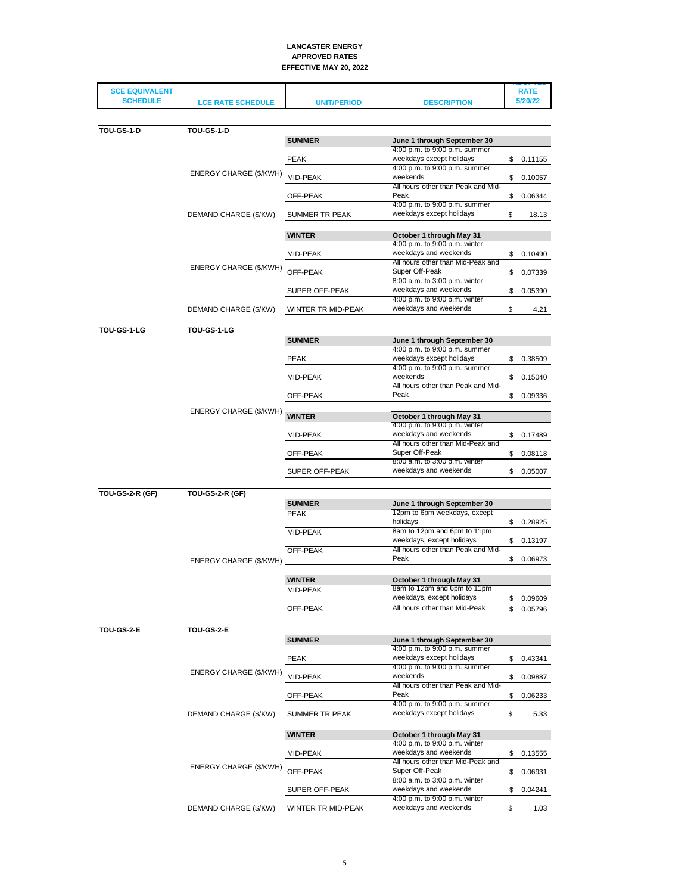| <b>SCE EQUIVALENT</b>  |                          |                    |                                                              | <b>RATE</b>   |
|------------------------|--------------------------|--------------------|--------------------------------------------------------------|---------------|
| <b>SCHEDULE</b>        | <b>LCE RATE SCHEDULE</b> | <b>UNIT/PERIOD</b> | <b>DESCRIPTION</b>                                           | 5/20/22       |
|                        |                          |                    |                                                              |               |
| <b>TOU-GS-1-D</b>      | <b>TOU-GS-1-D</b>        |                    |                                                              |               |
|                        |                          | <b>SUMMER</b>      | June 1 through September 30<br>4:00 p.m. to 9:00 p.m. summer |               |
|                        |                          | <b>PEAK</b>        | weekdays except holidays                                     | \$0.11155     |
|                        | ENERGY CHARGE (\$/KWH)   |                    | 4:00 p.m. to 9:00 p.m. summer                                |               |
|                        |                          | MID-PEAK           | weekends<br>All hours other than Peak and Mid-               | \$<br>0.10057 |
|                        |                          | OFF-PEAK           | Peak                                                         | \$<br>0.06344 |
|                        | DEMAND CHARGE (\$/KW)    | SUMMER TR PEAK     | 4:00 p.m. to 9:00 p.m. summer<br>weekdays except holidays    | \$<br>18.13   |
|                        |                          |                    |                                                              |               |
|                        |                          | <b>WINTER</b>      | October 1 through May 31                                     |               |
|                        |                          | MID-PEAK           | 4:00 p.m. to 9:00 p.m. winter<br>weekdays and weekends       | \$<br>0.10490 |
|                        | ENERGY CHARGE (\$/KWH)   |                    | All hours other than Mid-Peak and                            |               |
|                        |                          | OFF-PEAK           | Super Off-Peak<br>8:00 a.m. to 3:00 p.m. winter              | \$<br>0.07339 |
|                        |                          | SUPER OFF-PEAK     | weekdays and weekends                                        | \$<br>0.05390 |
|                        |                          | WINTER TR MID-PEAK | 4:00 p.m. to 9:00 p.m. winter<br>weekdays and weekends       | \$            |
|                        | DEMAND CHARGE (\$/KW)    |                    |                                                              | 4.21          |
| TOU-GS-1-LG            | TOU-GS-1-LG              |                    |                                                              |               |
|                        |                          | <b>SUMMER</b>      | June 1 through September 30<br>4:00 p.m. to 9:00 p.m. summer |               |
|                        |                          | <b>PEAK</b>        | weekdays except holidays                                     | \$0.38509     |
|                        |                          |                    | 4:00 p.m. to 9:00 p.m. summer                                |               |
|                        |                          | MID-PEAK           | weekends<br>All hours other than Peak and Mid-               | \$<br>0.15040 |
|                        |                          | OFF-PEAK           | Peak                                                         | \$<br>0.09336 |
|                        | ENERGY CHARGE (\$/KWH)   |                    |                                                              |               |
|                        |                          | <b>WINTER</b>      | October 1 through May 31<br>4:00 p.m. to 9:00 p.m. winter    |               |
|                        |                          | MID-PEAK           | weekdays and weekends                                        | \$<br>0.17489 |
|                        |                          | OFF-PEAK           | All hours other than Mid-Peak and<br>Super Off-Peak          | \$<br>0.08118 |
|                        |                          |                    | 8:00 a.m. to 3:00 p.m. winter                                |               |
|                        |                          | SUPER OFF-PEAK     | weekdays and weekends                                        | \$<br>0.05007 |
| <b>TOU-GS-2-R (GF)</b> | <b>TOU-GS-2-R (GF)</b>   |                    |                                                              |               |
|                        |                          | <b>SUMMER</b>      | June 1 through September 30                                  |               |
|                        |                          | <b>PEAK</b>        | 12pm to 6pm weekdays, except<br>holidays                     |               |
|                        |                          | <b>MID-PEAK</b>    | 8am to 12pm and 6pm to 11pm                                  | \$<br>0.28925 |
|                        |                          |                    | weekdays, except holidays                                    | \$<br>0.13197 |
|                        |                          | OFF-PEAK           | All hours other than Peak and Mid-<br>Peak                   | \$<br>0.06973 |
|                        | ENERGY CHARGE (\$/KWH)   |                    |                                                              |               |
|                        |                          | <b>WINTER</b>      | October 1 through May 31                                     |               |
|                        |                          | MID-PEAK           | 8am to 12pm and 6pm to 11pm<br>weekdays, except holidays     | \$<br>0.09609 |
|                        |                          | OFF-PEAK           | All hours other than Mid-Peak                                | \$<br>0.05796 |
|                        |                          |                    |                                                              |               |
| <b>TOU-GS-2-E</b>      | <b>TOU-GS-2-E</b>        | <b>SUMMER</b>      | June 1 through September 30                                  |               |
|                        |                          |                    | 4:00 p.m. to 9:00 p.m. summer                                |               |
|                        |                          | <b>PEAK</b>        | weekdays except holidays<br>4:00 p.m. to 9:00 p.m. summer    | \$<br>0.43341 |
|                        | ENERGY CHARGE (\$/KWH)   | MID-PEAK           | weekends                                                     | \$<br>0.09887 |
|                        |                          |                    | All hours other than Peak and Mid-                           |               |
|                        |                          | OFF-PEAK           | Peak<br>4:00 p.m. to 9:00 p.m. summer                        | \$<br>0.06233 |
|                        | DEMAND CHARGE (\$/KW)    | SUMMER TR PEAK     | weekdays except holidays                                     | \$<br>5.33    |
|                        |                          |                    |                                                              |               |
|                        |                          | <b>WINTER</b>      | October 1 through May 31<br>4:00 p.m. to 9:00 p.m. winter    |               |
|                        |                          | MID-PEAK           | weekdays and weekends                                        | \$<br>0.13555 |
|                        | ENERGY CHARGE (\$/KWH)   | OFF-PEAK           | All hours other than Mid-Peak and<br>Super Off-Peak          | \$            |
|                        |                          |                    | 8:00 a.m. to 3:00 p.m. winter                                | 0.06931       |
|                        |                          | SUPER OFF-PEAK     | weekdays and weekends                                        | \$<br>0.04241 |
|                        | DEMAND CHARGE (\$/KW)    | WINTER TR MID-PEAK | 4:00 p.m. to 9:00 p.m. winter<br>weekdays and weekends       | \$<br>1.03    |
|                        |                          |                    |                                                              |               |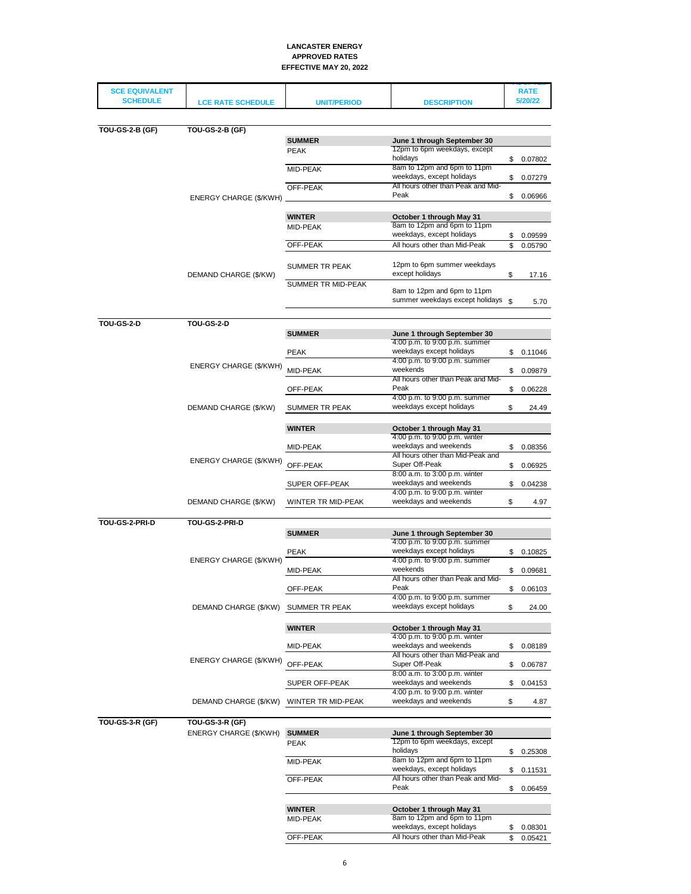| <b>SCE EQUIVALENT</b><br><b>SCHEDULE</b> | <b>LCE RATE SCHEDULE</b>                  | <b>UNIT/PERIOD</b>            | <b>DESCRIPTION</b>                                           | <b>RATE</b><br>5/20/22 |
|------------------------------------------|-------------------------------------------|-------------------------------|--------------------------------------------------------------|------------------------|
|                                          |                                           |                               |                                                              |                        |
|                                          |                                           |                               |                                                              |                        |
| <b>TOU-GS-2-B (GF)</b>                   | <b>TOU-GS-2-B (GF)</b>                    | <b>SUMMER</b>                 | June 1 through September 30                                  |                        |
|                                          |                                           | <b>PEAK</b>                   | 12pm to 6pm weekdays, except                                 |                        |
|                                          |                                           |                               | holidays                                                     | \$0.07802              |
|                                          |                                           | MID-PEAK                      | 8am to 12pm and 6pm to 11pm<br>weekdays, except holidays     |                        |
|                                          |                                           | OFF-PEAK                      | All hours other than Peak and Mid-                           | \$<br>0.07279          |
|                                          | ENERGY CHARGE (\$/KWH)                    |                               | Peak                                                         | \$<br>0.06966          |
|                                          |                                           |                               |                                                              |                        |
|                                          |                                           | <b>WINTER</b>                 | October 1 through May 31<br>8am to 12pm and 6pm to 11pm      |                        |
|                                          |                                           | MID-PEAK                      | weekdays, except holidays                                    | \$<br>0.09599          |
|                                          |                                           | OFF-PEAK                      | All hours other than Mid-Peak                                | \$<br>0.05790          |
|                                          |                                           |                               |                                                              |                        |
|                                          |                                           | SUMMER TR PEAK                | 12pm to 6pm summer weekdays<br>except holidays               |                        |
|                                          | DEMAND CHARGE (\$/KW)                     | SUMMER TR MID-PEAK            |                                                              | \$<br>17.16            |
|                                          |                                           |                               | 8am to 12pm and 6pm to 11pm                                  |                        |
|                                          |                                           |                               | summer weekdays except holidays \$                           | 5.70                   |
|                                          |                                           |                               |                                                              |                        |
| <b>TOU-GS-2-D</b>                        | TOU-GS-2-D                                | <b>SUMMER</b>                 | June 1 through September 30                                  |                        |
|                                          |                                           |                               | 4:00 p.m. to 9:00 p.m. summer                                |                        |
|                                          |                                           | <b>PEAK</b>                   | weekdays except holidays                                     | \$0.11046              |
|                                          | ENERGY CHARGE (\$/KWH)                    | MID-PEAK                      | 4:00 p.m. to 9:00 p.m. summer<br>weekends                    | \$<br>0.09879          |
|                                          |                                           |                               | All hours other than Peak and Mid-                           |                        |
|                                          |                                           | OFF-PEAK                      | Peak                                                         | \$<br>0.06228          |
|                                          | DEMAND CHARGE (\$/KW)                     | SUMMER TR PEAK                | 4:00 p.m. to 9:00 p.m. summer<br>weekdays except holidays    | \$<br>24.49            |
|                                          |                                           |                               |                                                              |                        |
|                                          |                                           | <b>WINTER</b>                 | October 1 through May 31                                     |                        |
|                                          |                                           |                               | 4:00 p.m. to 9:00 p.m. winter                                |                        |
|                                          |                                           | MID-PEAK                      | weekdays and weekends<br>All hours other than Mid-Peak and   | \$<br>0.08356          |
|                                          | ENERGY CHARGE (\$/KWH)                    | OFF-PEAK                      | Super Off-Peak                                               | \$<br>0.06925          |
|                                          |                                           | 8:00 a.m. to 3:00 p.m. winter |                                                              |                        |
|                                          |                                           | SUPER OFF-PEAK                | weekdays and weekends<br>4:00 p.m. to 9:00 p.m. winter       | \$<br>0.04238          |
|                                          | DEMAND CHARGE (\$/KW)                     | WINTER TR MID-PEAK            | weekdays and weekends                                        | \$<br>4.97             |
|                                          |                                           |                               |                                                              |                        |
| TOU-GS-2-PRI-D                           | TOU-GS-2-PRI-D                            |                               |                                                              |                        |
|                                          |                                           | <b>SUMMER</b>                 | June 1 through September 30<br>4:00 p.m. to 9:00 p.m. summer |                        |
|                                          |                                           | <b>PEAK</b>                   | weekdays except holidays                                     | \$0.10825              |
|                                          | ENERGY CHARGE (\$/KWH)                    |                               | 4:00 p.m. to 9:00 p.m. summer                                |                        |
|                                          |                                           | MID-PEAK                      | weekends<br>All hours other than Peak and Mid-               | \$<br>0.09681          |
|                                          |                                           | OFF-PEAK                      | Peak                                                         | \$<br>0.06103          |
|                                          |                                           |                               | 4:00 p.m. to 9:00 p.m. summer                                |                        |
|                                          | DEMAND CHARGE (\$/KW)                     | SUMMER TR PEAK                | weekdays except holidays                                     | \$<br>24.00            |
|                                          |                                           |                               |                                                              |                        |
|                                          |                                           | <b>WINTER</b>                 | October 1 through May 31<br>4:00 p.m. to 9:00 p.m. winter    |                        |
|                                          |                                           | MID-PEAK                      | weekdays and weekends                                        | \$<br>0.08189          |
|                                          | ENERGY CHARGE (\$/KWH)                    |                               | All hours other than Mid-Peak and                            |                        |
|                                          |                                           | OFF-PEAK                      | Super Off-Peak<br>8:00 a.m. to 3:00 p.m. winter              | \$<br>0.06787          |
|                                          |                                           | SUPER OFF-PEAK                | weekdays and weekends                                        | \$<br>0.04153          |
|                                          |                                           |                               | 4:00 p.m. to 9:00 p.m. winter                                |                        |
|                                          | DEMAND CHARGE (\$/KW)                     | WINTER TR MID-PEAK            | weekdays and weekends                                        | \$<br>4.87             |
| <b>TOU-GS-3-R (GF)</b>                   |                                           |                               |                                                              |                        |
|                                          | TOU-GS-3-R (GF)<br>ENERGY CHARGE (\$/KWH) | <b>SUMMER</b>                 | June 1 through September 30                                  |                        |
|                                          |                                           | <b>PEAK</b>                   | 12pm to 6pm weekdays, except                                 |                        |
|                                          |                                           |                               | holidays                                                     | \$<br>0.25308          |
|                                          |                                           | MID-PEAK                      | 8am to 12pm and 6pm to 11pm<br>weekdays, except holidays     |                        |
|                                          |                                           | OFF-PEAK                      | All hours other than Peak and Mid-                           | \$<br>0.11531          |
|                                          |                                           |                               | Peak                                                         | \$<br>0.06459          |
|                                          |                                           |                               |                                                              |                        |
|                                          |                                           | <b>WINTER</b>                 | October 1 through May 31                                     |                        |
|                                          |                                           | MID-PEAK                      | 8am to 12pm and 6pm to 11pm<br>weekdays, except holidays     | \$<br>0.08301          |
|                                          |                                           | OFF-PEAK                      | All hours other than Mid-Peak                                | \$<br>0.05421          |
|                                          |                                           |                               |                                                              |                        |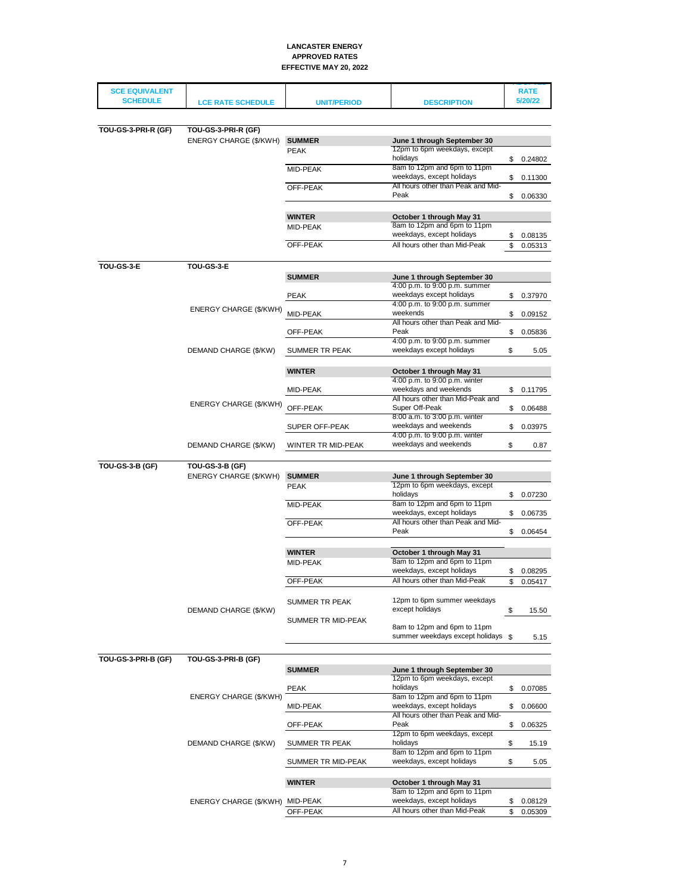| <b>SCE EQUIVALENT</b>  |                                 |                    |                                                             | <b>RATE</b>   |
|------------------------|---------------------------------|--------------------|-------------------------------------------------------------|---------------|
| <b>SCHEDULE</b>        | <b>LCE RATE SCHEDULE</b>        | <b>UNIT/PERIOD</b> | <b>DESCRIPTION</b>                                          | 5/20/22       |
|                        |                                 |                    |                                                             |               |
| TOU-GS-3-PRI-R (GF)    | TOU-GS-3-PRI-R (GF)             |                    |                                                             |               |
|                        | ENERGY CHARGE (\$/KWH)          | <b>SUMMER</b>      | June 1 through September 30                                 |               |
|                        |                                 | <b>PEAK</b>        | 12pm to 6pm weekdays, except                                |               |
|                        |                                 |                    | holidays                                                    | \$0.24802     |
|                        |                                 | MID-PEAK           | 8am to 12pm and 6pm to 11pm                                 |               |
|                        |                                 |                    | weekdays, except holidays                                   | \$<br>0.11300 |
|                        |                                 | OFF-PEAK           | All hours other than Peak and Mid-                          |               |
|                        |                                 |                    | Peak                                                        | \$<br>0.06330 |
|                        |                                 |                    |                                                             |               |
|                        |                                 | <b>WINTER</b>      | October 1 through May 31                                    |               |
|                        |                                 | MID-PEAK           | 8am to 12pm and 6pm to 11pm                                 |               |
|                        |                                 |                    | weekdays, except holidays                                   | \$<br>0.08135 |
|                        |                                 | OFF-PEAK           | All hours other than Mid-Peak                               | \$<br>0.05313 |
|                        |                                 |                    |                                                             |               |
| TOU-GS-3-E             | <b>TOU-GS-3-E</b>               |                    |                                                             |               |
|                        |                                 | <b>SUMMER</b>      | June 1 through September 30                                 |               |
|                        |                                 |                    | 4:00 p.m. to 9:00 p.m. summer                               |               |
|                        |                                 | <b>PEAK</b>        | weekdays except holidays                                    | \$<br>0.37970 |
|                        | ENERGY CHARGE (\$/KWH)          |                    | 4:00 p.m. to 9:00 p.m. summer<br>weekends                   |               |
|                        |                                 | MID-PEAK           | All hours other than Peak and Mid-                          | \$<br>0.09152 |
|                        |                                 | OFF-PEAK           | Peak                                                        | \$<br>0.05836 |
|                        |                                 |                    | 4:00 p.m. to 9:00 p.m. summer                               |               |
|                        | DEMAND CHARGE (\$/KW)           | SUMMER TR PEAK     | weekdays except holidays                                    | \$<br>5.05    |
|                        |                                 |                    |                                                             |               |
|                        |                                 | <b>WINTER</b>      | October 1 through May 31                                    |               |
|                        |                                 |                    | 4:00 p.m. to 9:00 p.m. winter                               |               |
|                        |                                 | MID-PEAK           | weekdays and weekends                                       | \$<br>0.11795 |
|                        | ENERGY CHARGE (\$/KWH)          |                    | All hours other than Mid-Peak and                           |               |
|                        |                                 | OFF-PEAK           | Super Off-Peak                                              | \$<br>0.06488 |
|                        |                                 |                    | 8:00 a.m. to 3:00 p.m. winter                               |               |
|                        |                                 | SUPER OFF-PEAK     | weekdays and weekends                                       | \$<br>0.03975 |
|                        |                                 |                    | 4:00 p.m. to 9:00 p.m. winter<br>weekdays and weekends      | \$            |
|                        | DEMAND CHARGE (\$/KW)           | WINTER TR MID-PEAK |                                                             | 0.87          |
| <b>TOU-GS-3-B (GF)</b> | <b>TOU-GS-3-B (GF)</b>          |                    |                                                             |               |
|                        |                                 | <b>SUMMER</b>      |                                                             |               |
|                        | ENERGY CHARGE (\$/KWH)          |                    | June 1 through September 30<br>12pm to 6pm weekdays, except |               |
|                        |                                 | <b>PEAK</b>        | holidays                                                    | \$<br>0.07230 |
|                        |                                 | MID-PEAK           | 8am to 12pm and 6pm to 11pm                                 |               |
|                        |                                 |                    | weekdays, except holidays                                   | \$<br>0.06735 |
|                        |                                 | OFF-PEAK           | All hours other than Peak and Mid-                          |               |
|                        |                                 |                    | Peak                                                        | \$<br>0.06454 |
|                        |                                 |                    |                                                             |               |
|                        |                                 | <b>WINTER</b>      | October 1 through May 31                                    |               |
|                        |                                 | MID-PEAK           | 8am to 12pm and 6pm to 11pm                                 |               |
|                        |                                 |                    | weekdays, except holidays                                   | \$<br>0.08295 |
|                        |                                 | OFF-PEAK           | All hours other than Mid-Peak                               | \$<br>0.05417 |
|                        |                                 |                    |                                                             |               |
|                        |                                 | SUMMER TR PEAK     | 12pm to 6pm summer weekdays                                 |               |
|                        | DEMAND CHARGE (\$/KW)           |                    | except holidays                                             | \$<br>15.50   |
|                        |                                 | SUMMER TR MID-PEAK | 8am to 12pm and 6pm to 11pm                                 |               |
|                        |                                 |                    | summer weekdays except holidays \$                          | 5.15          |
|                        |                                 |                    |                                                             |               |
|                        |                                 |                    |                                                             |               |
| TOU-GS-3-PRI-B (GF)    | TOU-GS-3-PRI-B (GF)             |                    |                                                             |               |
|                        |                                 | <b>SUMMER</b>      | June 1 through September 30<br>12pm to 6pm weekdays, except |               |
|                        |                                 | <b>PEAK</b>        | holidays                                                    | \$<br>0.07085 |
|                        | ENERGY CHARGE (\$/KWH)          |                    | 8am to 12pm and 6pm to 11pm                                 |               |
|                        |                                 | MID-PEAK           | weekdays, except holidays                                   | \$<br>0.06600 |
|                        |                                 |                    | All hours other than Peak and Mid-                          |               |
|                        |                                 | OFF-PEAK           | Peak                                                        | \$<br>0.06325 |
|                        |                                 |                    | 12pm to 6pm weekdays, except                                |               |
|                        | DEMAND CHARGE (\$/KW)           | SUMMER TR PEAK     | holidays                                                    | \$<br>15.19   |
|                        |                                 |                    | 8am to 12pm and 6pm to 11pm                                 |               |
|                        |                                 | SUMMER TR MID-PEAK | weekdays, except holidays                                   | \$<br>5.05    |
|                        |                                 |                    |                                                             |               |
|                        |                                 | <b>WINTER</b>      | October 1 through May 31                                    |               |
|                        |                                 |                    | 8am to 12pm and 6pm to 11pm                                 |               |
|                        | ENERGY CHARGE (\$/KWH) MID-PEAK |                    | weekdays, except holidays                                   | \$<br>0.08129 |
|                        |                                 | OFF-PEAK           | All hours other than Mid-Peak                               | \$<br>0.05309 |
|                        |                                 |                    |                                                             |               |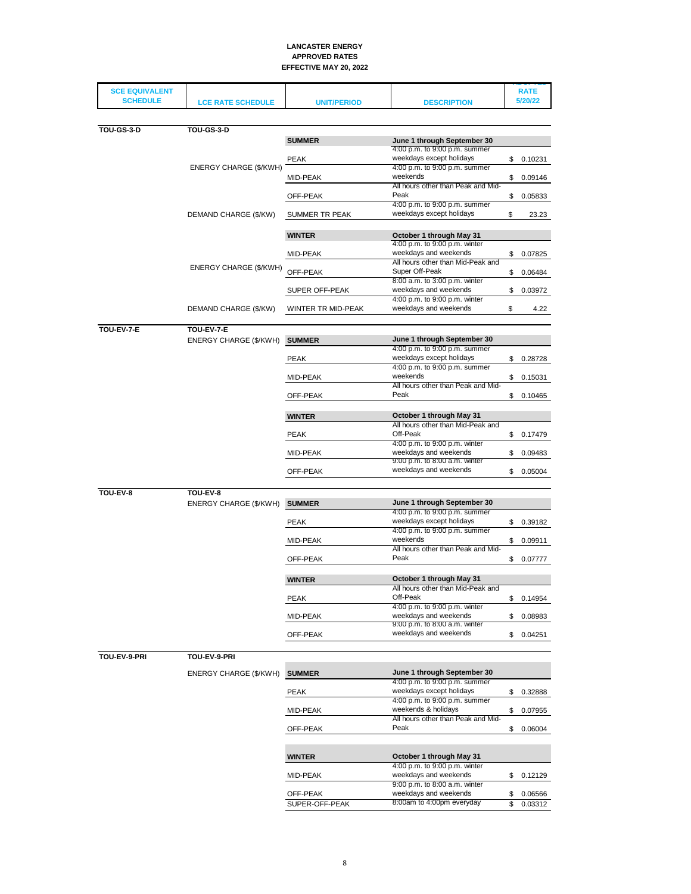| <b>SCE EQUIVALENT</b><br><b>SCHEDULE</b> |                          |                    |                                                               | <b>RATE</b><br>5/20/22 |
|------------------------------------------|--------------------------|--------------------|---------------------------------------------------------------|------------------------|
|                                          | <b>LCE RATE SCHEDULE</b> | <b>UNIT/PERIOD</b> | <b>DESCRIPTION</b>                                            |                        |
|                                          |                          |                    |                                                               |                        |
| TOU-GS-3-D                               | <b>TOU-GS-3-D</b>        |                    |                                                               |                        |
|                                          |                          | <b>SUMMER</b>      | June 1 through September 30                                   |                        |
|                                          |                          | <b>PEAK</b>        | 4:00 p.m. to 9:00 p.m. summer<br>weekdays except holidays     | \$<br>0.10231          |
|                                          | ENERGY CHARGE (\$/KWH)   |                    | 4:00 p.m. to 9:00 p.m. summer                                 |                        |
|                                          |                          | MID-PEAK           | weekends                                                      | \$<br>0.09146          |
|                                          |                          |                    | All hours other than Peak and Mid-                            |                        |
|                                          |                          | OFF-PEAK           | Peak<br>4:00 p.m. to 9:00 p.m. summer                         | \$<br>0.05833          |
|                                          | DEMAND CHARGE (\$/KW)    | SUMMER TR PEAK     | weekdays except holidays                                      | \$<br>23.23            |
|                                          |                          |                    |                                                               |                        |
|                                          |                          | <b>WINTER</b>      | October 1 through May 31                                      |                        |
|                                          |                          |                    | 4:00 p.m. to 9:00 p.m. winter<br>weekdays and weekends        |                        |
|                                          |                          | MID-PEAK           | All hours other than Mid-Peak and                             | \$<br>0.07825          |
|                                          | ENERGY CHARGE (\$/KWH)   | OFF-PEAK           | Super Off-Peak                                                | \$<br>0.06484          |
|                                          |                          |                    | 8:00 a.m. to 3:00 p.m. winter                                 |                        |
|                                          |                          | SUPER OFF-PEAK     | weekdays and weekends<br>4:00 p.m. to 9:00 p.m. winter        | \$<br>0.03972          |
|                                          | DEMAND CHARGE (\$/KW)    | WINTER TR MID-PEAK | weekdays and weekends                                         | \$<br>4.22             |
|                                          |                          |                    |                                                               |                        |
| TOU-EV-7-E                               | TOU-EV-7-E               |                    |                                                               |                        |
|                                          | ENERGY CHARGE (\$/KWH)   | <b>SUMMER</b>      | June 1 through September 30                                   |                        |
|                                          |                          |                    | 4:00 p.m. to 9:00 p.m. summer                                 |                        |
|                                          |                          | <b>PEAK</b>        | weekdays except holidays<br>4:00 p.m. to 9:00 p.m. summer     | \$<br>0.28728          |
|                                          |                          | MID-PEAK           | weekends                                                      | \$<br>0.15031          |
|                                          |                          |                    | All hours other than Peak and Mid-                            |                        |
|                                          |                          | OFF-PEAK           | Peak                                                          | \$<br>0.10465          |
|                                          |                          |                    |                                                               |                        |
|                                          |                          | <b>WINTER</b>      | October 1 through May 31<br>All hours other than Mid-Peak and |                        |
|                                          |                          | <b>PEAK</b>        | Off-Peak                                                      | \$<br>0.17479          |
|                                          |                          |                    | 4:00 p.m. to 9:00 p.m. winter                                 |                        |
|                                          |                          | MID-PEAK           | weekdays and weekends<br>9:00 p.m. to 8:00 a.m. winter        | \$<br>0.09483          |
|                                          |                          | OFF-PEAK           | weekdays and weekends                                         | \$<br>0.05004          |
|                                          |                          |                    |                                                               |                        |
| TOU-EV-8                                 | TOU-EV-8                 |                    |                                                               |                        |
|                                          | ENERGY CHARGE (\$/KWH)   | <b>SUMMER</b>      | June 1 through September 30                                   |                        |
|                                          |                          |                    | 4:00 p.m. to 9:00 p.m. summer                                 |                        |
|                                          |                          | <b>PEAK</b>        | weekdays except holidays<br>4:00 p.m. to 9:00 p.m. summer     | \$<br>0.39182          |
|                                          |                          | MID-PEAK           | weekends                                                      | \$<br>0.09911          |
|                                          |                          |                    | All hours other than Peak and Mid-                            |                        |
|                                          |                          | OFF-PEAK           | Peak                                                          | \$<br>0.07777          |
|                                          |                          |                    |                                                               |                        |
|                                          |                          | <b>WINTER</b>      | October 1 through May 31                                      |                        |
|                                          |                          | <b>PEAK</b>        | All hours other than Mid-Peak and<br>Off-Peak                 | \$0.14954              |
|                                          |                          |                    | 4:00 p.m. to 9:00 p.m. winter                                 |                        |
|                                          |                          | MID-PEAK           | weekdays and weekends                                         | \$<br>0.08983          |
|                                          |                          | OFF-PEAK           | 9:00 p.m. to 8:00 a.m. winter<br>weekdays and weekends        | \$<br>0.04251          |
|                                          |                          |                    |                                                               |                        |
| TOU-EV-9-PRI                             | TOU-EV-9-PRI             |                    |                                                               |                        |
|                                          |                          |                    |                                                               |                        |
|                                          | ENERGY CHARGE (\$/KWH)   | <b>SUMMER</b>      | June 1 through September 30<br>4:00 p.m. to 9:00 p.m. summer  |                        |
|                                          |                          | <b>PEAK</b>        | weekdays except holidays                                      | \$<br>0.32888          |
|                                          |                          |                    | 4:00 p.m. to 9:00 p.m. summer                                 |                        |
|                                          |                          | MID-PEAK           | weekends & holidays                                           | \$<br>0.07955          |
|                                          |                          |                    | All hours other than Peak and Mid-<br>Peak                    |                        |
|                                          |                          | OFF-PEAK           |                                                               | \$<br>0.06004          |
|                                          |                          |                    |                                                               |                        |
|                                          |                          | <b>WINTER</b>      | October 1 through May 31                                      |                        |
|                                          |                          |                    | 4:00 p.m. to 9:00 p.m. winter                                 |                        |
|                                          |                          | MID-PEAK           | weekdays and weekends<br>9:00 p.m. to 8:00 a.m. winter        | \$<br>0.12129          |
|                                          |                          | OFF-PEAK           | weekdays and weekends                                         | \$<br>0.06566          |
|                                          |                          | SUPER-OFF-PEAK     | 8:00am to 4:00pm everyday                                     | \$<br>0.03312          |
|                                          |                          |                    |                                                               |                        |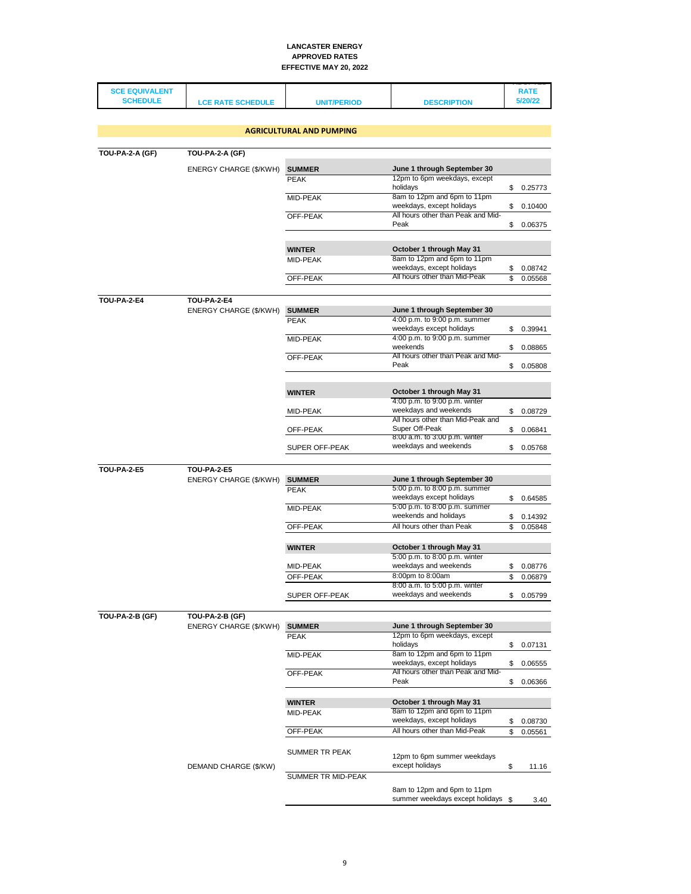| <b>SCE EQUIVALENT</b> |                          |                                 |                                                              |          | <b>RATE</b>        |
|-----------------------|--------------------------|---------------------------------|--------------------------------------------------------------|----------|--------------------|
| <b>SCHEDULE</b>       | <b>LCE RATE SCHEDULE</b> | <b>UNIT/PERIOD</b>              | <b>DESCRIPTION</b>                                           |          | 5/20/22            |
|                       |                          |                                 |                                                              |          |                    |
|                       |                          | <b>AGRICULTURAL AND PUMPING</b> |                                                              |          |                    |
|                       |                          |                                 |                                                              |          |                    |
| TOU-PA-2-A (GF)       | <b>TOU-PA-2-A (GF)</b>   |                                 |                                                              |          |                    |
|                       | ENERGY CHARGE (\$/KWH)   | <b>SUMMER</b>                   | June 1 through September 30                                  |          |                    |
|                       |                          | <b>PEAK</b>                     | 12pm to 6pm weekdays, except                                 |          |                    |
|                       |                          |                                 | holidays<br>8am to 12pm and 6pm to 11pm                      |          | \$0.25773          |
|                       |                          | MID-PEAK                        | weekdays, except holidays                                    | \$       | 0.10400            |
|                       |                          | OFF-PEAK                        | All hours other than Peak and Mid-                           |          |                    |
|                       |                          |                                 | Peak                                                         | \$       | 0.06375            |
|                       |                          |                                 |                                                              |          |                    |
|                       |                          | <b>WINTER</b>                   | October 1 through May 31<br>8am to 12pm and 6pm to 11pm      |          |                    |
|                       |                          | MID-PEAK                        | weekdays, except holidays                                    | \$       | 0.08742            |
|                       |                          | OFF-PEAK                        | All hours other than Mid-Peak                                | \$       | 0.05568            |
|                       |                          |                                 |                                                              |          |                    |
| <b>TOU-PA-2-E4</b>    | <b>TOU-PA-2-E4</b>       |                                 |                                                              |          |                    |
|                       | ENERGY CHARGE (\$/KWH)   | <b>SUMMER</b><br><b>PEAK</b>    | June 1 through September 30<br>4:00 p.m. to 9:00 p.m. summer |          |                    |
|                       |                          |                                 | weekdays except holidays                                     | \$       | 0.39941            |
|                       |                          | MID-PEAK                        | 4:00 p.m. to 9:00 p.m. summer<br>weekends                    |          |                    |
|                       |                          | OFF-PEAK                        | All hours other than Peak and Mid-                           | \$       | 0.08865            |
|                       |                          |                                 | Peak                                                         | \$       | 0.05808            |
|                       |                          |                                 |                                                              |          |                    |
|                       |                          | <b>WINTER</b>                   | October 1 through May 31                                     |          |                    |
|                       |                          |                                 | 4:00 p.m. to 9:00 p.m. winter                                |          |                    |
|                       |                          | MID-PEAK                        | weekdays and weekends<br>All hours other than Mid-Peak and   | \$       | 0.08729            |
|                       |                          | OFF-PEAK                        | Super Off-Peak                                               | \$       | 0.06841            |
|                       |                          |                                 | 8:00 a.m. to 3:00 p.m. winter                                |          |                    |
|                       |                          | <b>SUPER OFF-PEAK</b>           | weekdays and weekends                                        | \$       | 0.05768            |
| <b>TOU-PA-2-E5</b>    | <b>TOU-PA-2-E5</b>       |                                 |                                                              |          |                    |
|                       | ENERGY CHARGE (\$/KWH)   | <b>SUMMER</b>                   | June 1 through September 30                                  |          |                    |
|                       |                          | <b>PEAK</b>                     | 5:00 p.m. to 8:00 p.m. summer                                |          |                    |
|                       |                          | MID-PEAK                        | weekdays except holidays<br>5:00 p.m. to 8:00 p.m. summer    | \$       | 0.64585            |
|                       |                          |                                 | weekends and holidays                                        | \$       | 0.14392            |
|                       |                          | OFF-PEAK                        | All hours other than Peak                                    | \$       | 0.05848            |
|                       |                          |                                 |                                                              |          |                    |
|                       |                          | <b>WINTER</b>                   | October 1 through May 31<br>5:00 p.m. to 8:00 p.m. winter    |          |                    |
|                       |                          | MID-PEAK                        | weekdays and weekends                                        | \$       | 0.08776            |
|                       |                          | OFF-PEAK                        | 8:00pm to 8:00am                                             | \$       | 0.06879            |
|                       |                          |                                 | 8:00 a.m. to 5:00 p.m. winter<br>weekdays and weekends       |          |                    |
|                       |                          | SUPER OFF-PEAK                  |                                                              |          | \$0.05799          |
| TOU-PA-2-B (GF)       | TOU-PA-2-B (GF)          |                                 |                                                              |          |                    |
|                       | ENERGY CHARGE (\$/KWH)   | <b>SUMMER</b>                   | June 1 through September 30                                  |          |                    |
|                       |                          | <b>PEAK</b>                     | 12pm to 6pm weekdays, except<br>holidays                     | \$       | 0.07131            |
|                       |                          | MID-PEAK                        | 8am to 12pm and 6pm to 11pm                                  |          |                    |
|                       |                          |                                 | weekdays, except holidays                                    | \$       | 0.06555            |
|                       |                          | OFF-PEAK                        | All hours other than Peak and Mid-<br>Peak                   | \$       | 0.06366            |
|                       |                          |                                 |                                                              |          |                    |
|                       |                          | <b>WINTER</b>                   | October 1 through May 31                                     |          |                    |
|                       |                          | MID-PEAK                        | 8am to 12pm and 6pm to 11pm<br>weekdays, except holidays     |          |                    |
|                       |                          | OFF-PEAK                        | All hours other than Mid-Peak                                | \$<br>\$ | 0.08730<br>0.05561 |
|                       |                          |                                 |                                                              |          |                    |
|                       |                          | SUMMER TR PEAK                  | 12pm to 6pm summer weekdays                                  |          |                    |
|                       | DEMAND CHARGE (\$/KW)    |                                 | except holidays                                              | \$       | 11.16              |
|                       |                          | SUMMER TR MID-PEAK              |                                                              |          |                    |
|                       |                          |                                 | 8am to 12pm and 6pm to 11pm                                  |          |                    |
|                       |                          |                                 | summer weekdays except holidays \$                           |          | 3.40               |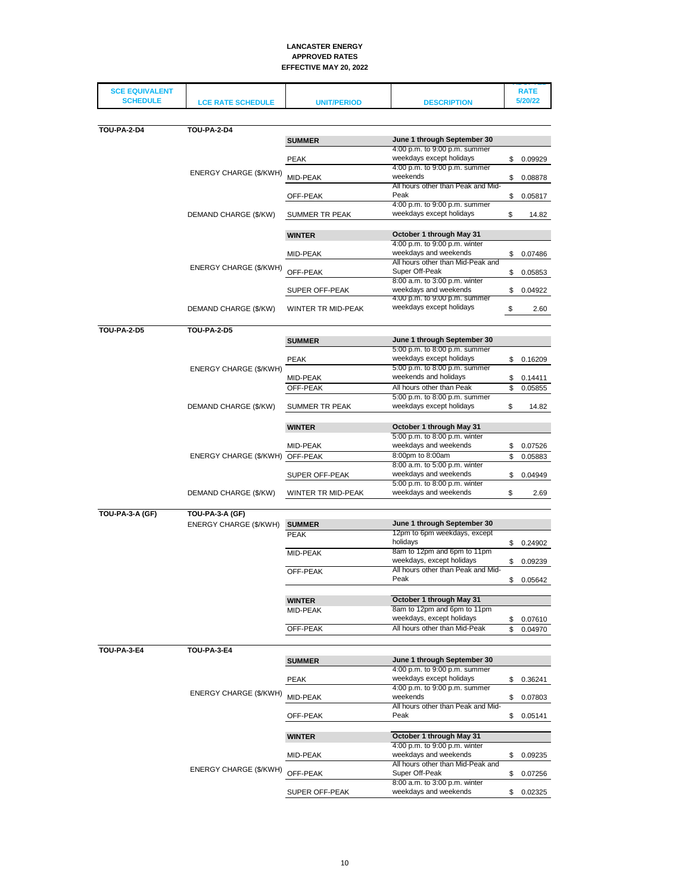| <b>SCE EQUIVALENT</b> |                                 |                       |                                                            | <b>RATE</b>   |
|-----------------------|---------------------------------|-----------------------|------------------------------------------------------------|---------------|
| <b>SCHEDULE</b>       | <b>LCE RATE SCHEDULE</b>        | <b>UNIT/PERIOD</b>    | <b>DESCRIPTION</b>                                         | 5/20/22       |
|                       |                                 |                       |                                                            |               |
| <b>TOU-PA-2-D4</b>    | <b>TOU-PA-2-D4</b>              |                       |                                                            |               |
|                       |                                 | <b>SUMMER</b>         | June 1 through September 30                                |               |
|                       |                                 |                       | 4:00 p.m. to 9:00 p.m. summer                              |               |
|                       |                                 | <b>PEAK</b>           | weekdays except holidays                                   | \$<br>0.09929 |
|                       | ENERGY CHARGE (\$/KWH)          |                       | 4:00 p.m. to 9:00 p.m. summer<br>weekends                  |               |
|                       |                                 | MID-PEAK              | All hours other than Peak and Mid-                         | \$<br>0.08878 |
|                       |                                 | OFF-PEAK              | Peak                                                       | \$<br>0.05817 |
|                       |                                 |                       | 4:00 p.m. to 9:00 p.m. summer                              |               |
|                       | DEMAND CHARGE (\$/KW)           | SUMMER TR PEAK        | weekdays except holidays                                   | \$<br>14.82   |
|                       |                                 |                       |                                                            |               |
|                       |                                 | <b>WINTER</b>         | October 1 through May 31                                   |               |
|                       |                                 |                       | 4:00 p.m. to 9:00 p.m. winter                              |               |
|                       |                                 | MID-PEAK              | weekdays and weekends<br>All hours other than Mid-Peak and | \$<br>0.07486 |
|                       | ENERGY CHARGE (\$/KWH)          | OFF-PEAK              | Super Off-Peak                                             | \$<br>0.05853 |
|                       |                                 |                       | 8:00 a.m. to 3:00 p.m. winter                              |               |
|                       |                                 | SUPER OFF-PEAK        | weekdays and weekends                                      | \$<br>0.04922 |
|                       |                                 |                       | 4:00 p.m. to 9:00 p.m. summer                              |               |
|                       | DEMAND CHARGE (\$/KW)           | WINTER TR MID-PEAK    | weekdays except holidays                                   | \$<br>2.60    |
|                       |                                 |                       |                                                            |               |
| <b>TOU-PA-2-D5</b>    | <b>TOU-PA-2-D5</b>              |                       |                                                            |               |
|                       |                                 | <b>SUMMER</b>         | June 1 through September 30                                |               |
|                       |                                 |                       | 5:00 p.m. to 8:00 p.m. summer                              |               |
|                       |                                 | <b>PEAK</b>           | weekdays except holidays<br>5:00 p.m. to 8:00 p.m. summer  | \$<br>0.16209 |
|                       | ENERGY CHARGE (\$/KWH)          | MID-PEAK              | weekends and holidays                                      | \$<br>0.14411 |
|                       |                                 | OFF-PEAK              | All hours other than Peak                                  | \$<br>0.05855 |
|                       |                                 |                       | 5:00 p.m. to 8:00 p.m. summer                              |               |
|                       | DEMAND CHARGE (\$/KW)           | <b>SUMMER TR PEAK</b> | weekdays except holidays                                   | \$<br>14.82   |
|                       |                                 |                       |                                                            |               |
|                       |                                 | <b>WINTER</b>         | October 1 through May 31                                   |               |
|                       |                                 |                       | 5:00 p.m. to 8:00 p.m. winter                              |               |
|                       |                                 | MID-PEAK              | weekdays and weekends                                      | \$<br>0.07526 |
|                       | ENERGY CHARGE (\$/KWH) OFF-PEAK |                       | 8:00pm to 8:00am<br>8:00 a.m. to 5:00 p.m. winter          | \$<br>0.05883 |
|                       |                                 | SUPER OFF-PEAK        | weekdays and weekends                                      | \$<br>0.04949 |
|                       |                                 |                       | 5:00 p.m. to 8:00 p.m. winter                              |               |
|                       | DEMAND CHARGE (\$/KW)           | WINTER TR MID-PEAK    | weekdays and weekends                                      | \$<br>2.69    |
|                       |                                 |                       |                                                            |               |
| TOU-PA-3-A (GF)       | TOU-PA-3-A (GF)                 |                       |                                                            |               |
|                       | ENERGY CHARGE (\$/KWH)          | <b>SUMMER</b>         | June 1 through September 30                                |               |
|                       |                                 | <b>PEAK</b>           | 12pm to 6pm weekdays, except                               |               |
|                       |                                 |                       | holidavs                                                   | \$<br>0.24902 |
|                       |                                 | MID-PEAK              | 8am to 12pm and 6pm to 11pm<br>weekdays, except holidays   |               |
|                       |                                 | OFF-PEAK              | All hours other than Peak and Mid-                         | \$<br>0.09239 |
|                       |                                 |                       | Peak                                                       | \$<br>0.05642 |
|                       |                                 |                       |                                                            |               |
|                       |                                 | <b>WINTER</b>         | October 1 through May 31                                   |               |
|                       |                                 | MID-PEAK              | 8am to 12pm and 6pm to 11pm                                |               |
|                       |                                 |                       | weekdays, except holidays                                  | \$<br>0.07610 |
|                       |                                 | OFF-PEAK              | All hours other than Mid-Peak                              | \$<br>0.04970 |
|                       |                                 |                       |                                                            |               |
| <b>TOU-PA-3-E4</b>    | TOU-PA-3-E4                     |                       |                                                            |               |
|                       |                                 | <b>SUMMER</b>         | June 1 through September 30                                |               |
|                       |                                 |                       | 4:00 p.m. to 9:00 p.m. summer                              |               |
|                       |                                 | <b>PEAK</b>           | weekdays except holidays<br>4:00 p.m. to 9:00 p.m. summer  | \$<br>0.36241 |
|                       | ENERGY CHARGE (\$/KWH)          | MID-PEAK              | weekends                                                   | \$<br>0.07803 |
|                       |                                 |                       | All hours other than Peak and Mid-                         |               |
|                       |                                 | OFF-PEAK              | Peak                                                       | \$<br>0.05141 |
|                       |                                 |                       |                                                            |               |
|                       |                                 | <b>WINTER</b>         | October 1 through May 31                                   |               |
|                       |                                 |                       | 4:00 p.m. to 9:00 p.m. winter                              |               |
|                       |                                 | MID-PEAK              | weekdays and weekends                                      | \$<br>0.09235 |
|                       | ENERGY CHARGE (\$/KWH)          |                       | All hours other than Mid-Peak and                          |               |
|                       |                                 | OFF-PEAK              | Super Off-Peak<br>8:00 a.m. to 3:00 p.m. winter            | \$<br>0.07256 |
|                       |                                 |                       | weekdays and weekends                                      | \$<br>0.02325 |
|                       |                                 | SUPER OFF-PEAK        |                                                            |               |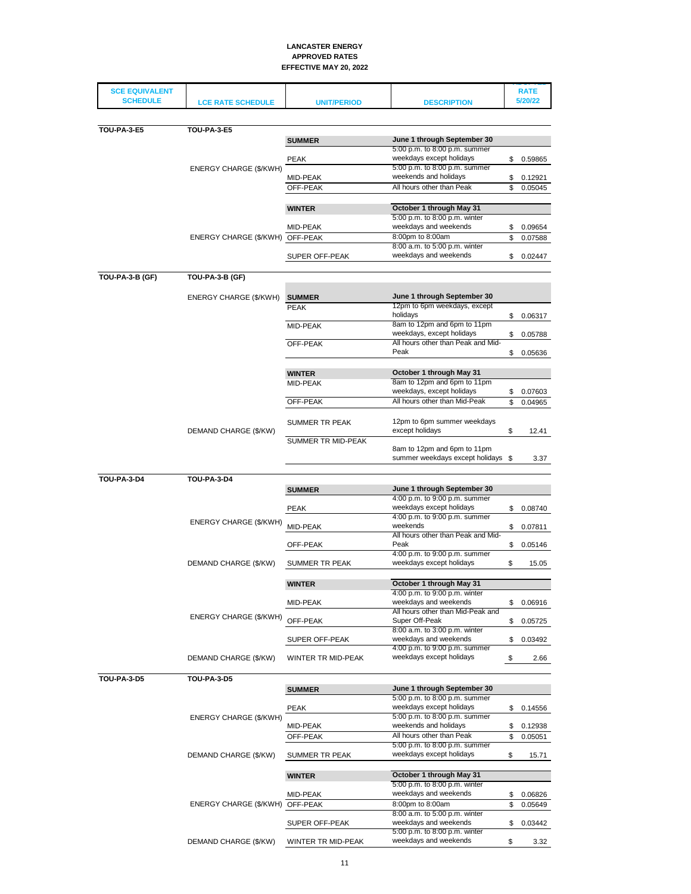| <b>SCE EQUIVALENT</b> |                                 |                              |                                                                   |          | <b>RATE</b>        |
|-----------------------|---------------------------------|------------------------------|-------------------------------------------------------------------|----------|--------------------|
| <b>SCHEDULE</b>       | <b>LCE RATE SCHEDULE</b>        | <b>UNIT/PERIOD</b>           | <b>DESCRIPTION</b>                                                |          | 5/20/22            |
|                       |                                 |                              |                                                                   |          |                    |
| <b>TOU-PA-3-E5</b>    | <b>TOU-PA-3-E5</b>              |                              |                                                                   |          |                    |
|                       |                                 | <b>SUMMER</b>                | June 1 through September 30                                       |          |                    |
|                       |                                 |                              | 5:00 p.m. to 8:00 p.m. summer                                     |          |                    |
|                       |                                 | <b>PEAK</b>                  | weekdays except holidays<br>5:00 p.m. to 8:00 p.m. summer         | \$       | 0.59865            |
|                       | ENERGY CHARGE (\$/KWH)          | MID-PEAK                     | weekends and holidays                                             | \$       | 0.12921            |
|                       |                                 | OFF-PEAK                     | All hours other than Peak                                         | \$       | 0.05045            |
|                       |                                 |                              |                                                                   |          |                    |
|                       |                                 | <b>WINTER</b>                | October 1 through May 31<br>5:00 p.m. to 8:00 p.m. winter         |          |                    |
|                       |                                 | MID-PEAK                     | weekdays and weekends                                             | \$       | 0.09654            |
|                       | ENERGY CHARGE (\$/KWH) OFF-PEAK |                              | 8:00pm to 8:00am                                                  | \$       | 0.07588            |
|                       |                                 | SUPER OFF-PEAK               | 8:00 a.m. to 5:00 p.m. winter<br>weekdays and weekends            | \$       | 0.02447            |
|                       |                                 |                              |                                                                   |          |                    |
| TOU-PA-3-B (GF)       | TOU-PA-3-B (GF)                 |                              |                                                                   |          |                    |
|                       |                                 |                              |                                                                   |          |                    |
|                       | ENERGY CHARGE (\$/KWH)          | <b>SUMMER</b><br><b>PEAK</b> | June 1 through September 30<br>12pm to 6pm weekdays, except       |          |                    |
|                       |                                 |                              | holidays                                                          | \$       | 0.06317            |
|                       |                                 | MID-PEAK                     | 8am to 12pm and 6pm to 11pm                                       |          |                    |
|                       |                                 | OFF-PEAK                     | weekdays, except holidays<br>All hours other than Peak and Mid-   | \$       | 0.05788            |
|                       |                                 |                              | Peak                                                              | \$       | 0.05636            |
|                       |                                 |                              |                                                                   |          |                    |
|                       |                                 | <b>WINTER</b>                | October 1 through May 31<br>8am to 12pm and 6pm to 11pm           |          |                    |
|                       |                                 | MID-PEAK                     | weekdays, except holidays                                         |          | \$ 0.07603         |
|                       |                                 | OFF-PEAK                     | All hours other than Mid-Peak                                     | \$       | 0.04965            |
|                       |                                 | SUMMER TR PEAK               | 12pm to 6pm summer weekdays                                       |          |                    |
|                       | DEMAND CHARGE (\$/KW)           | SUMMER TR MID-PEAK           | except holidays                                                   | \$       | 12.41              |
|                       |                                 |                              | 8am to 12pm and 6pm to 11pm<br>summer weekdays except holidays \$ |          | 3.37               |
|                       |                                 |                              |                                                                   |          |                    |
| <b>TOU-PA-3-D4</b>    | <b>TOU-PA-3-D4</b>              | <b>SUMMER</b>                | June 1 through September 30                                       |          |                    |
|                       |                                 |                              | 4:00 p.m. to 9:00 p.m. summer                                     |          |                    |
|                       |                                 | <b>PEAK</b>                  | weekdays except holidays<br>4:00 p.m. to 9:00 p.m. summer         | \$       | 0.08740            |
|                       | ENERGY CHARGE (\$/KWH)          | MID-PEAK                     | weekends                                                          | \$       | 0.07811            |
|                       |                                 |                              | All hours other than Peak and Mid-                                |          |                    |
|                       |                                 | OFF-PEAK                     | Peak<br>4:00 p.m. to 9:00 p.m. summer                             | \$       | 0.05146            |
|                       | DEMAND CHARGE (\$/KW)           | SUMMER TR PEAK               | weekdays except holidays                                          | \$       | 15.05              |
|                       |                                 |                              |                                                                   |          |                    |
|                       |                                 | <b>WINTER</b>                | October 1 through May 31                                          |          |                    |
|                       |                                 | MID-PEAK                     | 4:00 p.m. to 9:00 p.m. winter<br>weekdays and weekends            | \$       | 0.06916            |
|                       | ENERGY CHARGE (\$/KWH)          |                              | All hours other than Mid-Peak and                                 |          |                    |
|                       |                                 | OFF-PEAK                     | Super Off-Peak<br>8:00 a.m. to 3:00 p.m. winter                   | \$       | 0.05725            |
|                       |                                 | SUPER OFF-PEAK               | weekdays and weekends                                             | \$       | 0.03492            |
|                       |                                 |                              | 4:00 p.m. to 9:00 p.m. summer                                     |          |                    |
|                       | DEMAND CHARGE (\$/KW)           | WINTER TR MID-PEAK           | weekdays except holidays                                          | \$       | 2.66               |
| <b>TOU-PA-3-D5</b>    | <b>TOU-PA-3-D5</b>              |                              |                                                                   |          |                    |
|                       |                                 | <b>SUMMER</b>                | June 1 through September 30                                       |          |                    |
|                       |                                 |                              | 5:00 p.m. to 8:00 p.m. summer                                     |          |                    |
|                       | ENERGY CHARGE (\$/KWH)          | <b>PEAK</b>                  | weekdays except holidays<br>5:00 p.m. to 8:00 p.m. summer         | \$       | 0.14556            |
|                       |                                 | MID-PEAK                     | weekends and holidays                                             | \$       | 0.12938            |
|                       |                                 | OFF-PEAK                     | All hours other than Peak                                         | \$       | 0.05051            |
|                       | DEMAND CHARGE (\$/KW)           | SUMMER TR PEAK               | 5:00 p.m. to 8:00 p.m. summer<br>weekdays except holidays         | \$       | 15.71              |
|                       |                                 |                              |                                                                   |          |                    |
|                       |                                 | <b>WINTER</b>                | October 1 through May 31                                          |          |                    |
|                       |                                 |                              | 5:00 p.m. to 8:00 p.m. winter                                     |          |                    |
|                       | ENERGY CHARGE (\$/KWH)          | MID-PEAK<br>OFF-PEAK         | weekdays and weekends<br>8:00pm to 8:00am                         | \$<br>\$ | 0.06826<br>0.05649 |
|                       |                                 |                              | 8:00 a.m. to 5:00 p.m. winter                                     |          |                    |
|                       |                                 | SUPER OFF-PEAK               | weekdays and weekends                                             | \$       | 0.03442            |
|                       | DEMAND CHARGE (\$/KW)           | WINTER TR MID-PEAK           | 5:00 p.m. to 8:00 p.m. winter<br>weekdays and weekends            |          |                    |
|                       |                                 |                              |                                                                   | \$       | 3.32               |